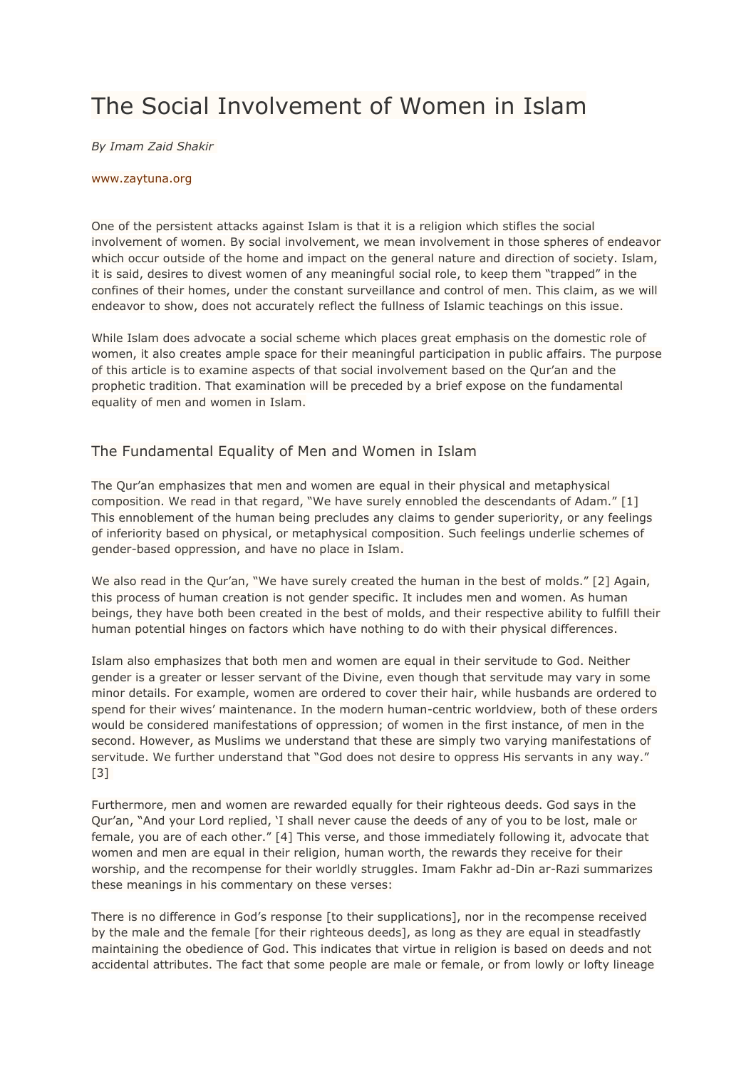# The Social Involvement of Women in Islam

*By Imam Zaid Shakir*

#### [www.zaytuna.org](http://www.zaytuna.org/)

One of the persistent attacks against Islam is that it is a religion which stifles the social involvement of women. By social involvement, we mean involvement in those spheres of endeavor which occur outside of the home and impact on the general nature and direction of society. Islam, it is said, desires to divest women of any meaningful social role, to keep them "trapped" in the confines of their homes, under the constant surveillance and control of men. This claim, as we will endeavor to show, does not accurately reflect the fullness of Islamic teachings on this issue.

While Islam does advocate a social scheme which places great emphasis on the domestic role of women, it also creates ample space for their meaningful participation in public affairs. The purpose of this article is to examine aspects of that social involvement based on the Qur'an and the prophetic tradition. That examination will be preceded by a brief expose on the fundamental equality of men and women in Islam.

#### The Fundamental Equality of Men and Women in Islam

The Qur'an emphasizes that men and women are equal in their physical and metaphysical composition. We read in that regard, "We have surely ennobled the descendants of Adam." [1] This ennoblement of the human being precludes any claims to gender superiority, or any feelings of inferiority based on physical, or metaphysical composition. Such feelings underlie schemes of gender-based oppression, and have no place in Islam.

We also read in the Qur'an, "We have surely created the human in the best of molds." [2] Again, this process of human creation is not gender specific. It includes men and women. As human beings, they have both been created in the best of molds, and their respective ability to fulfill their human potential hinges on factors which have nothing to do with their physical differences.

Islam also emphasizes that both men and women are equal in their servitude to God. Neither gender is a greater or lesser servant of the Divine, even though that servitude may vary in some minor details. For example, women are ordered to cover their hair, while husbands are ordered to spend for their wives' maintenance. In the modern human-centric worldview, both of these orders would be considered manifestations of oppression; of women in the first instance, of men in the second. However, as Muslims we understand that these are simply two varying manifestations of servitude. We further understand that "God does not desire to oppress His servants in any way." [3]

Furthermore, men and women are rewarded equally for their righteous deeds. God says in the Qur'an, "And your Lord replied, 'I shall never cause the deeds of any of you to be lost, male or female, you are of each other." [4] This verse, and those immediately following it, advocate that women and men are equal in their religion, human worth, the rewards they receive for their worship, and the recompense for their worldly struggles. Imam Fakhr ad-Din ar-Razi summarizes these meanings in his commentary on these verses:

There is no difference in God's response [to their supplications], nor in the recompense received by the male and the female [for their righteous deeds], as long as they are equal in steadfastly maintaining the obedience of God. This indicates that virtue in religion is based on deeds and not accidental attributes. The fact that some people are male or female, or from lowly or lofty lineage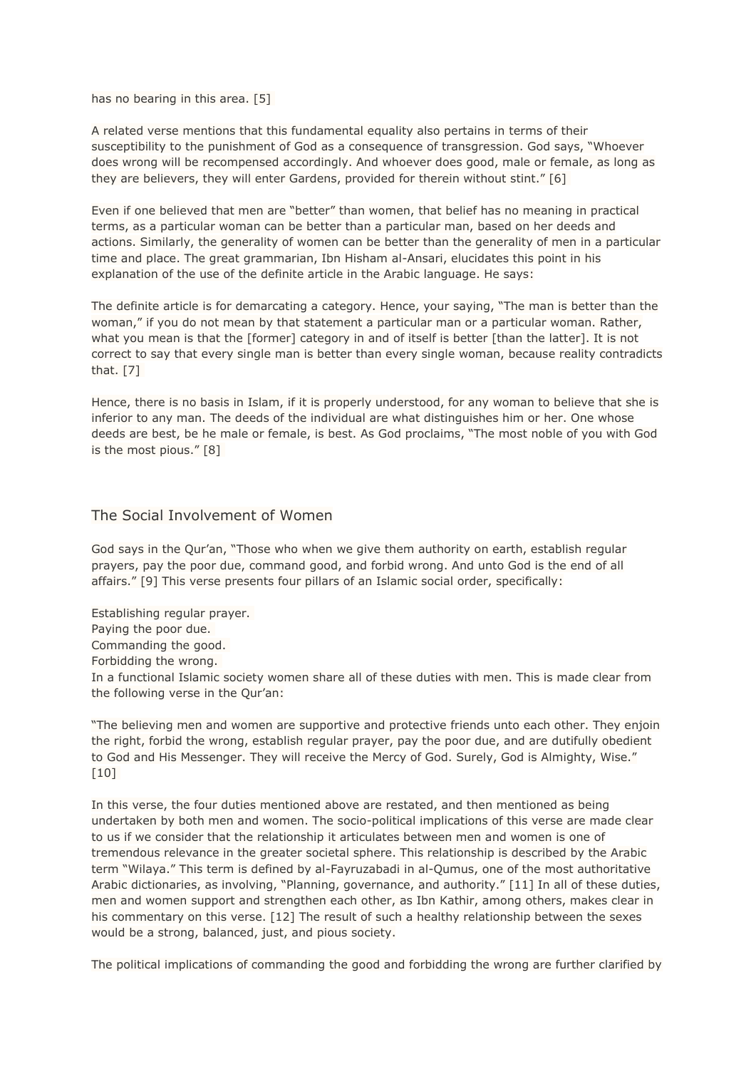has no bearing in this area. [5]

A related verse mentions that this fundamental equality also pertains in terms of their susceptibility to the punishment of God as a consequence of transgression. God says, "Whoever does wrong will be recompensed accordingly. And whoever does good, male or female, as long as they are believers, they will enter Gardens, provided for therein without stint." [6]

Even if one believed that men are "better" than women, that belief has no meaning in practical terms, as a particular woman can be better than a particular man, based on her deeds and actions. Similarly, the generality of women can be better than the generality of men in a particular time and place. The great grammarian, Ibn Hisham al-Ansari, elucidates this point in his explanation of the use of the definite article in the Arabic language. He says:

The definite article is for demarcating a category. Hence, your saying, "The man is better than the woman," if you do not mean by that statement a particular man or a particular woman. Rather, what you mean is that the [former] category in and of itself is better [than the latter]. It is not correct to say that every single man is better than every single woman, because reality contradicts that. [7]

Hence, there is no basis in Islam, if it is properly understood, for any woman to believe that she is inferior to any man. The deeds of the individual are what distinguishes him or her. One whose deeds are best, be he male or female, is best. As God proclaims, "The most noble of you with God is the most pious." [8]

### The Social Involvement of Women

God says in the Qur'an, "Those who when we give them authority on earth, establish regular prayers, pay the poor due, command good, and forbid wrong. And unto God is the end of all affairs." [9] This verse presents four pillars of an Islamic social order, specifically:

Establishing regular prayer. Paying the poor due. Commanding the good. Forbidding the wrong. In a functional Islamic society women share all of these duties with men. This is made clear from the following verse in the Qur'an:

"The believing men and women are supportive and protective friends unto each other. They enjoin the right, forbid the wrong, establish regular prayer, pay the poor due, and are dutifully obedient to God and His Messenger. They will receive the Mercy of God. Surely, God is Almighty, Wise." [10]

In this verse, the four duties mentioned above are restated, and then mentioned as being undertaken by both men and women. The socio-political implications of this verse are made clear to us if we consider that the relationship it articulates between men and women is one of tremendous relevance in the greater societal sphere. This relationship is described by the Arabic term "Wilaya." This term is defined by al-Fayruzabadi in al-Qumus, one of the most authoritative Arabic dictionaries, as involving, "Planning, governance, and authority." [11] In all of these duties, men and women support and strengthen each other, as Ibn Kathir, among others, makes clear in his commentary on this verse. [12] The result of such a healthy relationship between the sexes would be a strong, balanced, just, and pious society.

The political implications of commanding the good and forbidding the wrong are further clarified by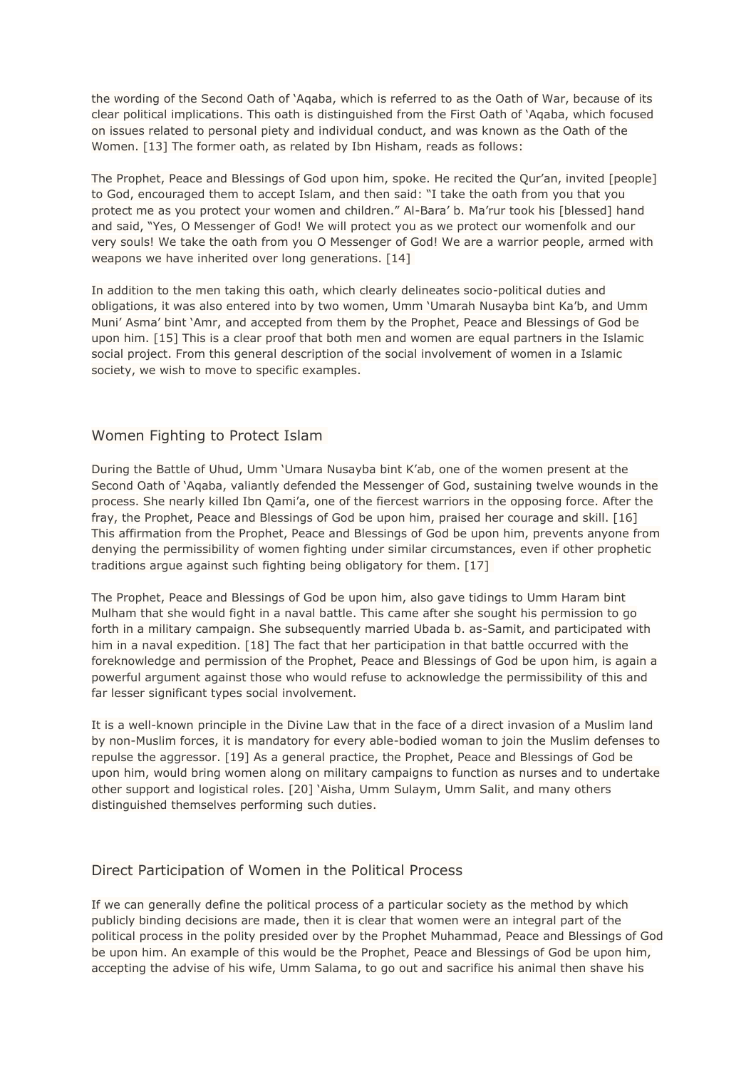the wording of the Second Oath of 'Aqaba, which is referred to as the Oath of War, because of its clear political implications. This oath is distinguished from the First Oath of 'Aqaba, which focused on issues related to personal piety and individual conduct, and was known as the Oath of the Women. [13] The former oath, as related by Ibn Hisham, reads as follows:

The Prophet, Peace and Blessings of God upon him, spoke. He recited the Qur'an, invited [people] to God, encouraged them to accept Islam, and then said: "I take the oath from you that you protect me as you protect your women and children." Al-Bara' b. Ma'rur took his [blessed] hand and said, "Yes, O Messenger of God! We will protect you as we protect our womenfolk and our very souls! We take the oath from you O Messenger of God! We are a warrior people, armed with weapons we have inherited over long generations. [14]

In addition to the men taking this oath, which clearly delineates socio-political duties and obligations, it was also entered into by two women, Umm 'Umarah Nusayba bint Ka'b, and Umm Muni' Asma' bint 'Amr, and accepted from them by the Prophet, Peace and Blessings of God be upon him. [15] This is a clear proof that both men and women are equal partners in the Islamic social project. From this general description of the social involvement of women in a Islamic society, we wish to move to specific examples.

## Women Fighting to Protect Islam

During the Battle of Uhud, Umm 'Umara Nusayba bint K'ab, one of the women present at the Second Oath of 'Aqaba, valiantly defended the Messenger of God, sustaining twelve wounds in the process. She nearly killed Ibn Qami'a, one of the fiercest warriors in the opposing force. After the fray, the Prophet, Peace and Blessings of God be upon him, praised her courage and skill. [16] This affirmation from the Prophet, Peace and Blessings of God be upon him, prevents anyone from denying the permissibility of women fighting under similar circumstances, even if other prophetic traditions argue against such fighting being obligatory for them. [17]

The Prophet, Peace and Blessings of God be upon him, also gave tidings to Umm Haram bint Mulham that she would fight in a naval battle. This came after she sought his permission to go forth in a military campaign. She subsequently married Ubada b. as-Samit, and participated with him in a naval expedition. [18] The fact that her participation in that battle occurred with the foreknowledge and permission of the Prophet, Peace and Blessings of God be upon him, is again a powerful argument against those who would refuse to acknowledge the permissibility of this and far lesser significant types social involvement.

It is a well-known principle in the Divine Law that in the face of a direct invasion of a Muslim land by non-Muslim forces, it is mandatory for every able-bodied woman to join the Muslim defenses to repulse the aggressor. [19] As a general practice, the Prophet, Peace and Blessings of God be upon him, would bring women along on military campaigns to function as nurses and to undertake other support and logistical roles. [20] 'Aisha, Umm Sulaym, Umm Salit, and many others distinguished themselves performing such duties.

## Direct Participation of Women in the Political Process

If we can generally define the political process of a particular society as the method by which publicly binding decisions are made, then it is clear that women were an integral part of the political process in the polity presided over by the Prophet Muhammad, Peace and Blessings of God be upon him. An example of this would be the Prophet, Peace and Blessings of God be upon him, accepting the advise of his wife, Umm Salama, to go out and sacrifice his animal then shave his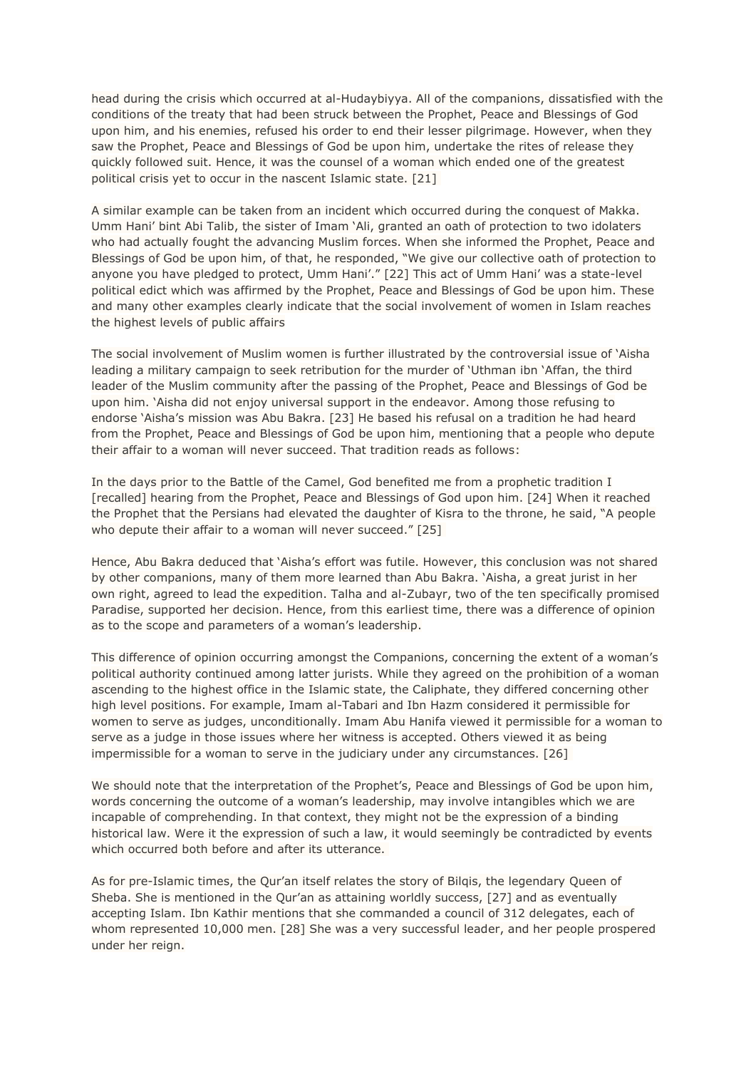head during the crisis which occurred at al-Hudaybiyya. All of the companions, dissatisfied with the conditions of the treaty that had been struck between the Prophet, Peace and Blessings of God upon him, and his enemies, refused his order to end their lesser pilgrimage. However, when they saw the Prophet, Peace and Blessings of God be upon him, undertake the rites of release they quickly followed suit. Hence, it was the counsel of a woman which ended one of the greatest political crisis yet to occur in the nascent Islamic state. [21]

A similar example can be taken from an incident which occurred during the conquest of Makka. Umm Hani' bint Abi Talib, the sister of Imam 'Ali, granted an oath of protection to two idolaters who had actually fought the advancing Muslim forces. When she informed the Prophet, Peace and Blessings of God be upon him, of that, he responded, "We give our collective oath of protection to anyone you have pledged to protect, Umm Hani'." [22] This act of Umm Hani' was a state-level political edict which was affirmed by the Prophet, Peace and Blessings of God be upon him. These and many other examples clearly indicate that the social involvement of women in Islam reaches the highest levels of public affairs

The social involvement of Muslim women is further illustrated by the controversial issue of 'Aisha leading a military campaign to seek retribution for the murder of 'Uthman ibn 'Affan, the third leader of the Muslim community after the passing of the Prophet, Peace and Blessings of God be upon him. 'Aisha did not enjoy universal support in the endeavor. Among those refusing to endorse 'Aisha's mission was Abu Bakra. [23] He based his refusal on a tradition he had heard from the Prophet, Peace and Blessings of God be upon him, mentioning that a people who depute their affair to a woman will never succeed. That tradition reads as follows:

In the days prior to the Battle of the Camel, God benefited me from a prophetic tradition I [recalled] hearing from the Prophet, Peace and Blessings of God upon him. [24] When it reached the Prophet that the Persians had elevated the daughter of Kisra to the throne, he said, "A people who depute their affair to a woman will never succeed." [25]

Hence, Abu Bakra deduced that 'Aisha's effort was futile. However, this conclusion was not shared by other companions, many of them more learned than Abu Bakra. 'Aisha, a great jurist in her own right, agreed to lead the expedition. Talha and al-Zubayr, two of the ten specifically promised Paradise, supported her decision. Hence, from this earliest time, there was a difference of opinion as to the scope and parameters of a woman's leadership.

This difference of opinion occurring amongst the Companions, concerning the extent of a woman's political authority continued among latter jurists. While they agreed on the prohibition of a woman ascending to the highest office in the Islamic state, the Caliphate, they differed concerning other high level positions. For example, Imam al-Tabari and Ibn Hazm considered it permissible for women to serve as judges, unconditionally. Imam Abu Hanifa viewed it permissible for a woman to serve as a judge in those issues where her witness is accepted. Others viewed it as being impermissible for a woman to serve in the judiciary under any circumstances. [26]

We should note that the interpretation of the Prophet's, Peace and Blessings of God be upon him, words concerning the outcome of a woman's leadership, may involve intangibles which we are incapable of comprehending. In that context, they might not be the expression of a binding historical law. Were it the expression of such a law, it would seemingly be contradicted by events which occurred both before and after its utterance.

As for pre-Islamic times, the Qur'an itself relates the story of Bilqis, the legendary Queen of Sheba. She is mentioned in the Qur'an as attaining worldly success, [27] and as eventually accepting Islam. Ibn Kathir mentions that she commanded a council of 312 delegates, each of whom represented 10,000 men. [28] She was a very successful leader, and her people prospered under her reign.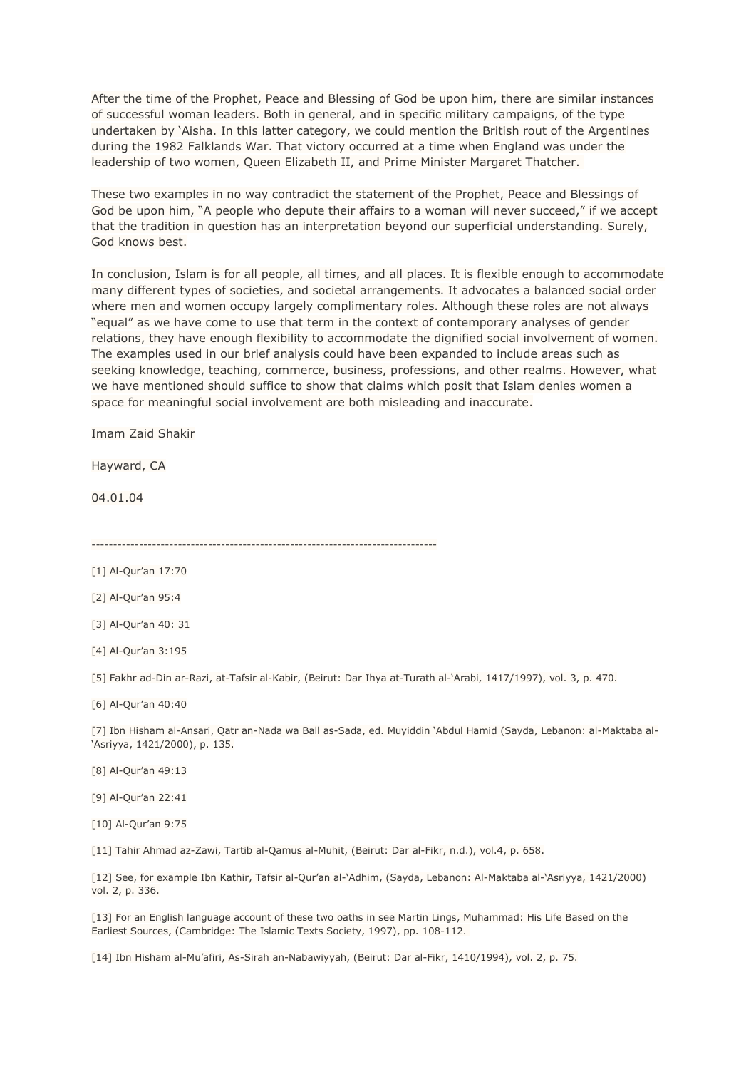After the time of the Prophet, Peace and Blessing of God be upon him, there are similar instances of successful woman leaders. Both in general, and in specific military campaigns, of the type undertaken by 'Aisha. In this latter category, we could mention the British rout of the Argentines during the 1982 Falklands War. That victory occurred at a time when England was under the leadership of two women, Queen Elizabeth II, and Prime Minister Margaret Thatcher.

These two examples in no way contradict the statement of the Prophet, Peace and Blessings of God be upon him, "A people who depute their affairs to a woman will never succeed," if we accept that the tradition in question has an interpretation beyond our superficial understanding. Surely, God knows best.

In conclusion, Islam is for all people, all times, and all places. It is flexible enough to accommodate many different types of societies, and societal arrangements. It advocates a balanced social order where men and women occupy largely complimentary roles. Although these roles are not always "equal" as we have come to use that term in the context of contemporary analyses of gender relations, they have enough flexibility to accommodate the dignified social involvement of women. The examples used in our brief analysis could have been expanded to include areas such as seeking knowledge, teaching, commerce, business, professions, and other realms. However, what we have mentioned should suffice to show that claims which posit that Islam denies women a space for meaningful social involvement are both misleading and inaccurate.

Imam Zaid Shakir

Hayward, CA

04.01.04

--------------------------------------------------------------------------------

[2] Al-Qur'an 95:4

[3] Al-Qur'an 40: 31

[4] Al-Qur'an 3:195

[5] Fakhr ad-Din ar-Razi, at-Tafsir al-Kabir, (Beirut: Dar Ihya at-Turath al-'Arabi, 1417/1997), vol. 3, p. 470.

[6] Al-Qur'an 40:40

[7] Ibn Hisham al-Ansari, Qatr an-Nada wa Ball as-Sada, ed. Muyiddin 'Abdul Hamid (Sayda, Lebanon: al-Maktaba al- 'Asriyya, 1421/2000), p. 135.

[8] Al-Qur'an 49:13

[9] Al-Qur'an 22:41

[10] Al-Qur'an 9:75

[11] Tahir Ahmad az-Zawi, Tartib al-Qamus al-Muhit, (Beirut: Dar al-Fikr, n.d.), vol.4, p. 658.

[12] See, for example Ibn Kathir, Tafsir al-Qur'an al-'Adhim, (Sayda, Lebanon: Al-Maktaba al-'Asriyya, 1421/2000) vol. 2, p. 336.

[13] For an English language account of these two oaths in see Martin Lings, Muhammad: His Life Based on the Earliest Sources, (Cambridge: The Islamic Texts Society, 1997), pp. 108-112.

[14] Ibn Hisham al-Mu'afiri, As-Sirah an-Nabawiyyah, (Beirut: Dar al-Fikr, 1410/1994), vol. 2, p. 75.

<sup>[1]</sup> Al-Qur'an 17:70